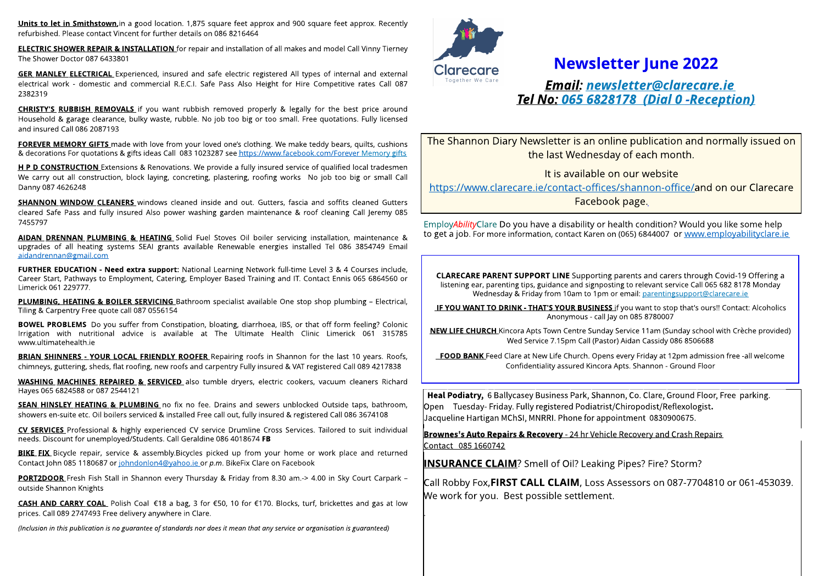Units to let in Smithstown, in a good location. 1,875 square feet approx and 900 square feet approx. Recently refurbished. Please contact Vincent for further details on 086 8216464

**ELECTRIC SHOWER REPAIR & INSTALLATION** for repair and installation of all makes and model Call Vinny Tierney The Shower Doctor 087 6433801

electrical work - domestic and commercial R.E.C.I. Safe Pass Also Height for Hire Competitive rates Call 087<br>2382319<br>CURISTYIS BURBISH REMOVALE if you want wishink removed prepara<sup>tive 8</sup> legally for the best price around **GER MANLEY ELECTRICAL** Experienced, insured and safe electric registered All types of internal and external 2382319

**CHRISTY'S RUBBISH REMOVALS** if you want rubbish removed properly & legally for the best price around Household & garage clearance, bulky waste, rubble. No job too big or too small. Free quotations. Fully licensed and insured Call 086 2087193

FOREVER MEMORY GIFTS made with love from your loved one's clothing. We make teddy bears, quilts, cushions & decorations For quotations & gifts ideas Call 083 1023287 see <https://www.facebook.com/Forever> Memory gifts

H P D CONSTRUCTION Extensions & Renovations. We provide a fully insured service of qualified local tradesmen We carry out all construction, block laying, concreting, plastering, roofing works No job too big or small Call Danny 087 4626248

**SHANNON WINDOW CLEANERS** windows cleaned inside and out. Gutters, fascia and soffits cleaned Gutters cleared Safe Pass and fully insured Also power washing garden maintenance & roof cleaning Call Jeremy 085 7455797

AIDAN DRENNAN PLUMBING & HEATING Solid Fuel Stoves Oil boiler servicing installation, maintenance & upgrades of all heating systems SEAI grants available Renewable energies installed Tel 086 3854749 Email aidandrennan@gmail.com

FURTHER EDUCATION - Need extra support: National Learning Network full-time Level 3 & 4 Courses include, Career Start, Pathways to Employment, Catering, Employer Based Training and IT. Contact Ennis 065 6864560 or Limerick 061 229777.

PLUMBING, HEATING & BOILER SERVICING Bathroom specialist available One stop shop plumbing - Electrical, Tiling & Carpentry Free quote call 087 0556154

.<br>Bar y<br>Y BOWEL PROBLEMS Do you suffer from Constipation, bloating, diarrhoea, IBS, or that off form feeling? Colonic Irrigation with nutritional advice is available at The Ultimate Health Clinic Limerick 061 315785 www.ultimatehealth.ie

BRIAN SHINNERS - YOUR LOCAL FRIENDLY ROOFER Repairing roofs in Shannon for the last 10 years. Roofs, chimneys, guttering, sheds, flat roofing, new roofs and carpentry Fully insured & VAT registered Call 089 4217838

N WASHING MACHINES REPAIRED & SERVICED also tumble dryers, electric cookers, vacuum cleaners Richard Hayes 065 6824588 or 087 2544121

i<br>Hill<br>Hill SEAN HINSLEY HEATING & PLUMBING no fix no fee. Drains and sewers unblocked Outside taps, bathroom, showers en-suite etc. Oil boilers serviced & installed Free call out, fully insured & registered Call 086 3674108

D CV SERVICES Professional & highly experienced CV service Drumline Cross Services. Tailored to suit individual needs. Discount for unemployed/Students. Call Geraldine 086 4018674 FB

**BIKE FIX** Bicycle repair, service & assembly.Bicycles picked up from your home or work place and returned Contact John 085 1180687 or johndonlon4@yahoo.ie or **p.m**. BikeFix Clare on Facebook

PORT2DOOR Fresh Fish Stall in Shannon every Thursday & Friday from 8.30 am.-> 4.00 in Sky Court Carpark outside Shannon Knights

**CASH AND CARRY COAL** Polish Coal €18 a bag, 3 for €50, 10 for €170. Blocks, turf, brickettes and gas at low prices. Call 089 2747493 Free delivery anywhere in Clare.

(Inclusion in this publication is no guarantee of standards nor does it mean that any service or organisation is guaranteed)



.

## **Newsletter June 2022**

**Email: newsletter@clarecare.ie Tel No: 065 6828178 (Dial 0 -Reception)**

The Shannon Diary Newsletter is an online publication and normally issued on the last Wednesday of each month.

It is available on our website

<https://www.clarecare.ie/contact-offices/shannon-office/>and on our Clarecare Facebook page.

Employ**Ability**Clare Do you have a disability or health condition?Would you like some help to get a job. For more information, contact Karen on (065) 6844007 or [www.employabilityclare.ie](http://www.employabilityclare.ie)

**CLARECARE PARENT SUPPORT LINE** Supporting parents and carers through Covid-19 Offering a listening ear, parenting tips, guidance and signposting to relevant service Call 065 682 8178 Monday Wednesday & Friday from 10am to 1pm or email: parentingsupport@clarecare.ie

IF YOU WANT TO DRINK - THAT'S YOUR BUSINESS if you want to stop that's ours!! Contact: Alcoholics Anonymous - call Jay on 085 8780007

NEW LIFE CHURCH Kincora Apts Town Centre Sunday Service 11am (Sunday school with Crèche provided) Wed Service 7.15pm Call (Pastor) Aidan Cassidy 086 8506688

**FOOD BANK** Feed Clare at New Life Church. Opens every Friday at 12pm admission free -all welcome Confidentiality assured Kincora Apts. Shannon - Ground Floor

Heal Podiatry, 6 Ballycasey Business Park, Shannon, Co. Clare, Ground Floor, Free parking. Open Tuesday- Friday. Fully registered Podiatrist/Chiropodist/Reflexologist. Jacqueline Hartigan MChSI, MNRRI. Phone for appointment 0830900675.

Brownes's Auto Repairs & Recovery - 24 hr Vehicle Recovery and Crash Repairs Contact 085 1660742

**INSURANCE CLAIM**? Smell of Oil? Leaking Pipes? Fire? Storm?

Call Robby Fox,FIRST CALL CLAIM, Loss Assessors on 087-7704810 or 061-453039. We work for you. Best possible settlement.